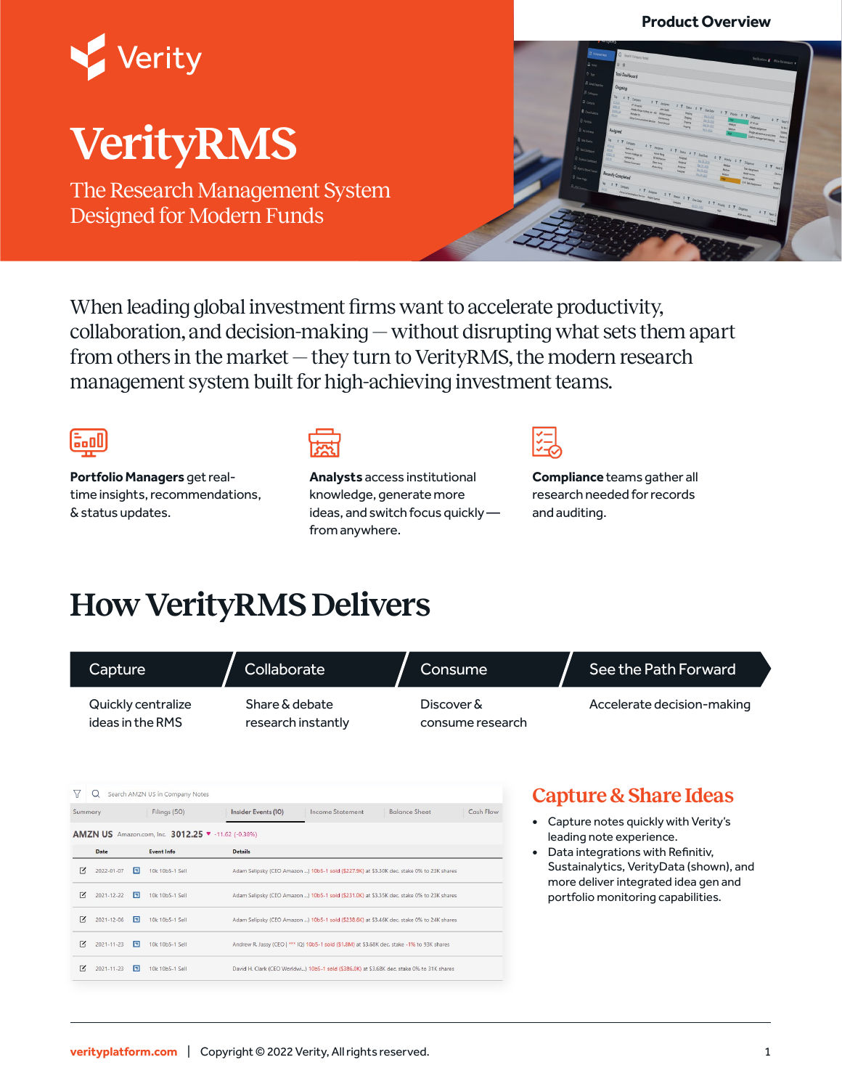#### **Product Overview**



# **VerityRMS**

The Research Management System Designed for Modern Funds



When leading global investment firms want to accelerate productivity, collaboration, and decision-making — without disrupting what sets them apart from others in the market — they turn to VerityRMS, the modern research management system built for high-achieving investment teams.



**Portfolio Managers** get realtime insights, recommendations, & status updates.



**Analysts** access institutional knowledge, generate more ideas, and switch focus quickly from anywhere.

**Compliance** teams gather all research needed for records and auditing.

## **How VerityRMS Delivers**

| Capture       |                                        |                                                                                                       | Collaborate                                                                                 | Consume                        | See the Path Forward                                                                                |  |
|---------------|----------------------------------------|-------------------------------------------------------------------------------------------------------|---------------------------------------------------------------------------------------------|--------------------------------|-----------------------------------------------------------------------------------------------------|--|
|               | Quickly centralize<br>ideas in the RMS |                                                                                                       | Share & debate<br>research instantly                                                        | Discover &<br>consume research | Accelerate decision-making                                                                          |  |
| 77<br>Summary | Q                                      | Search AMZN US in Company Notes<br>Filings (50)<br>AMZN US Amazon.com, Inc. 3012.25 v -11.62 (-0.38%) | <b>Balance Sheet</b><br>Insider Events (10)<br><b>Income Statement</b>                      | Cash Flow                      | <b>Capture &amp; Share Ideas</b><br>Capture notes quickly with Verity's<br>leading note experience. |  |
|               | Date                                   | <b>Event Info</b>                                                                                     | <b>Details</b>                                                                              |                                | Data integrations with Refinitiv,                                                                   |  |
| $\sim$        | 同<br>2022-01-07                        | 10k 10b5-1 Sell                                                                                       | Adam Selipsky (CEO Amazon ) 10b5-1 sold (\$227.9K) at \$3.30K dec. stake 0% to 23K shares   |                                | Sustainalytics, VerityData (shown), and<br>more deliver integrated idea gen and                     |  |
| $\sim$        | 同<br>$2021 - 12 - 22$                  | 10k 10b5-1 Sell                                                                                       | Adam Selipsky (CEO Amazon ) 10b5-1 sold (\$231.0K) at \$3.35K dec. stake 0% to 23K shares   |                                | portfolio monitoring capabilities.                                                                  |  |
| $\mathbf{K}$  | 同<br>2021-12-06                        | 10k 10b5-1 Sell                                                                                       | Adam Selipsky (CEO Amazon ) 10b5-1 sold (\$238.6K) at \$3.46K dec. stake 0% to 24K shares   |                                |                                                                                                     |  |
| $\sim$        | 同<br>$2021 - 11 - 23$                  | 10k 10b5-1 Sell                                                                                       | Andrew R. Jassy (CEO   *** IQ) 10b5-1 sold (\$1.8M) at \$3.68K dec. stake -1% to 93K shares |                                |                                                                                                     |  |
| $\mathbb{Z}$  | $2021 - 11 - 23$<br>E                  | 10k 10b5-1 Sell                                                                                       | David H. Clark (CEO Worldwi) 10b5-1 sold (\$386.0K) at \$3.68K dec. stake 0% to 31K shares  |                                |                                                                                                     |  |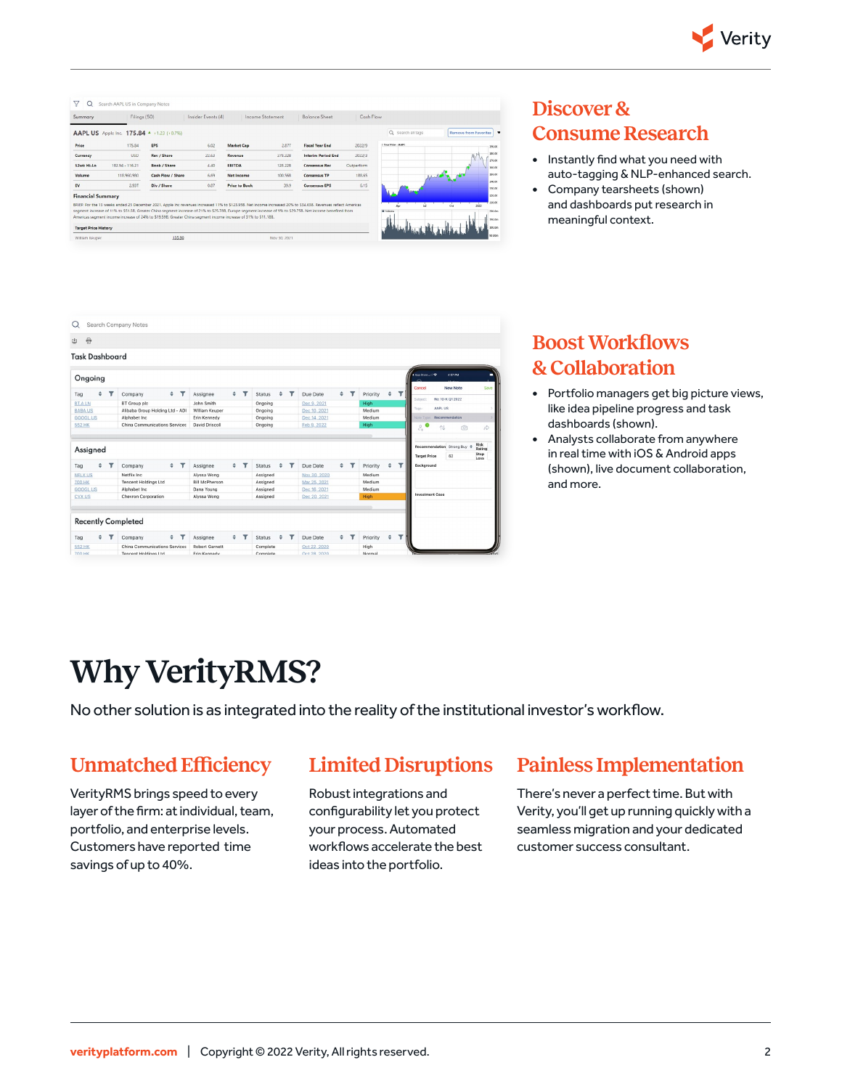

| Summary                  | Filings (50)                              |                                                                                                                | Insider Events (4) |                      | Income Statement | <b>Balance Sheet</b>                                                                                                                                                                                                                                                                                                          | Cash Flow  |                     |                          |
|--------------------------|-------------------------------------------|----------------------------------------------------------------------------------------------------------------|--------------------|----------------------|------------------|-------------------------------------------------------------------------------------------------------------------------------------------------------------------------------------------------------------------------------------------------------------------------------------------------------------------------------|------------|---------------------|--------------------------|
|                          | AAPL US Apple Inc. 175.84 ^ +1.23 (+0.7%) |                                                                                                                |                    |                      |                  |                                                                                                                                                                                                                                                                                                                               |            | Q Search all tags   | Remove from Favorites    |
| Price                    | 175.84                                    | <b>EPS</b>                                                                                                     | 6.02               | <b>Market Cap</b>    | 2.87T            | <b>Fiscal Year End</b>                                                                                                                                                                                                                                                                                                        | 2022/9     | 1 Year Price - AAPL | 190.00                   |
| Currency                 | <b>USD</b>                                | Rev / Share                                                                                                    | 22.63              | Revenue              | 378,328          | <b>Interim Period End</b>                                                                                                                                                                                                                                                                                                     | 2022/3     |                     | 180.00<br>170.00         |
| 52wk Hi-Lo               | 182.94 - 116.21                           | Book / Share                                                                                                   | 4.40               | <b>EBITDA</b>        | 128,228          | <b>Consensus Rec</b>                                                                                                                                                                                                                                                                                                          | Outperform |                     | 150.00                   |
| Volume                   | 118,960,980                               | Cash Flow / Share                                                                                              | 6.69               | Net Income           | 100,568          | <b>Consensus TP</b>                                                                                                                                                                                                                                                                                                           | 188.65     |                     | 150.00                   |
| EV                       | 2.93T                                     | Div / Share                                                                                                    | 0.87               | <b>Price to Book</b> | 39.9             | <b>Consensus FPS</b>                                                                                                                                                                                                                                                                                                          | 6.15       |                     | 140.00<br>130.00         |
| <b>Financial Summary</b> |                                           |                                                                                                                |                    |                      |                  |                                                                                                                                                                                                                                                                                                                               |            |                     | 120.00                   |
|                          |                                           |                                                                                                                |                    |                      |                  | BRIEF: For the 13 weeks ended 25 December 2021, Apple Inc revenues increased 11% to \$123.95B. Net income increased 20% to \$34.63B. Revenues reflect Americas<br>segment increase of 11% to \$51.58. Greater China segment increase of 21% to \$25.788. Europe segment increase of 9% to \$29.758. Net income benefited from |            | <b>B</b> Makersa    | 110.00<br>2022<br>300 Bm |
|                          |                                           | Americas segment income increase of 24% to \$19,59B. Greater China segment income increase of 31% to \$11,18B. |                    |                      |                  |                                                                                                                                                                                                                                                                                                                               |            |                     | 150 fm                   |
|                          |                                           |                                                                                                                |                    |                      |                  |                                                                                                                                                                                                                                                                                                                               |            |                     |                          |

### **Discover & Consume Research**

- **•** Instantly find what you need with auto-tagging & NLP-enhanced search.
- **•** Company tearsheets (shown) and dashboards put research in meaningful context.



#### **Boost Workflows & Collaboration**

- **•** Portfolio managers get big picture views, like idea pipeline progress and task dashboards (shown).
- **•** Analysts collaborate from anywhere in real time with iOS & Android apps (shown), live document collaboration, and more.

## **Why VerityRMS?**

No other solution is as integrated into the reality of the institutional investor's workflow.

#### **Unmatched Efficiency**

VerityRMS brings speed to every layer of the firm: at individual, team, portfolio, and enterprise levels. Customers have reported time savings of up to 40%.

#### **Limited Disruptions**

#### **Painless Implementation**

Robust integrations and configurability let you protect your process. Automated workflows accelerate the best ideas into the portfolio.

There's never a perfect time. But with Verity, you'll get up running quickly with a seamless migration and your dedicated customer success consultant.